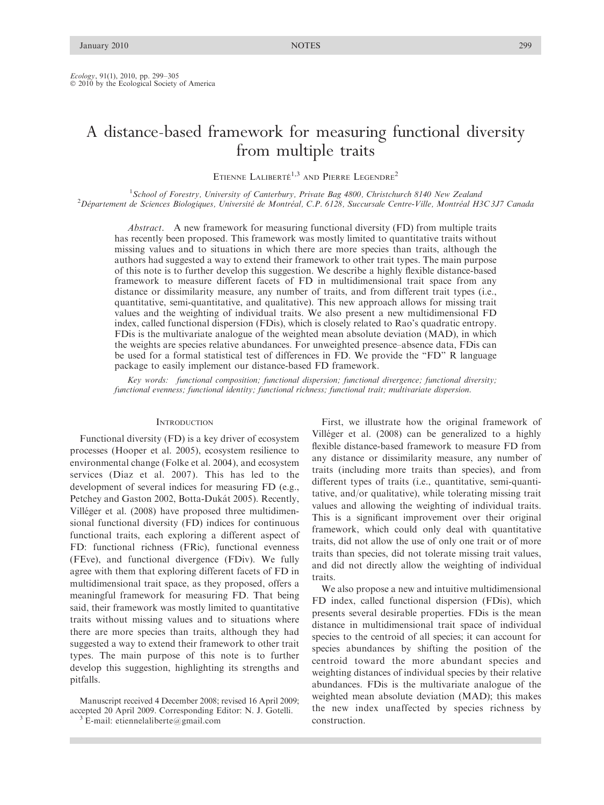$Ecology, 91(1), 2010, pp. 299-305$  $\odot$  2010 by the Ecological Society of America

ETIENNE LALIBERTÉ<sup>1,3</sup> AND PIERRE LEGENDRE<sup>2</sup>

<sup>1</sup>School of Forestry, University of Canterbury, Private Bag 4800, Christchurch 8140 New Zealand<br><sup>2</sup>Département de Sciences Biologiques, Université de Montréal C.P. 6128, Succursele Centre Ville, Montréal Hi  $2D$ épartement de Sciences Biologiques, Université de Montréal, C.P. 6128, Succursale Centre-Ville, Montréal H3C 3J7 Canada

Abstract. A new framework for measuring functional diversity (FD) from multiple traits has recently been proposed. This framework was mostly limited to quantitative traits without missing values and to situations in which there are more species than traits, although the authors had suggested a way to extend their framework to other trait types. The main purpose of this note is to further develop this suggestion. We describe a highly flexible distance-based framework to measure different facets of FD in multidimensional trait space from any distance or dissimilarity measure, any number of traits, and from different trait types (i.e., quantitative, semi-quantitative, and qualitative). This new approach allows for missing trait values and the weighting of individual traits. We also present a new multidimensional FD index, called functional dispersion (FDis), which is closely related to Rao's quadratic entropy. FDis is the multivariate analogue of the weighted mean absolute deviation (MAD), in which the weights are species relative abundances. For unweighted presence–absence data, FDis can be used for a formal statistical test of differences in FD. We provide the "FD" R language package to easily implement our distance-based FD framework.

Key words: functional composition; functional dispersion; functional divergence; functional diversity; functional evenness; functional identity; functional richness; functional trait; multivariate dispersion.

### **INTRODUCTION**

Functional diversity (FD) is a key driver of ecosystem processes (Hooper et al. 2005), ecosystem resilience to environmental change (Folke et al. 2004), and ecosystem services (Díaz et al. 2007). This has led to the development of several indices for measuring FD (e.g., Petchey and Gaston 2002, Botta-Dukát 2005). Recently, Villéger et al. (2008) have proposed three multidimensional functional diversity (FD) indices for continuous functional traits, each exploring a different aspect of FD: functional richness (FRic), functional evenness (FEve), and functional divergence (FDiv). We fully agree with them that exploring different facets of FD in multidimensional trait space, as they proposed, offers a meaningful framework for measuring FD. That being said, their framework was mostly limited to quantitative traits without missing values and to situations where there are more species than traits, although they had suggested a way to extend their framework to other trait types. The main purpose of this note is to further develop this suggestion, highlighting its strengths and pitfalls.

Manuscript received 4 December 2008; revised 16 April 2009; accepted 20 April 2009. Corresponding Editor: N. J. Gotelli. <sup>3</sup> E-mail: etiennelaliberte@gmail.com

First, we illustrate how the original framework of Villéger et al. (2008) can be generalized to a highly flexible distance-based framework to measure FD from any distance or dissimilarity measure, any number of traits (including more traits than species), and from different types of traits (i.e., quantitative, semi-quantitative, and/or qualitative), while tolerating missing trait values and allowing the weighting of individual traits. This is a significant improvement over their original framework, which could only deal with quantitative traits, did not allow the use of only one trait or of more traits than species, did not tolerate missing trait values, and did not directly allow the weighting of individual traits.

We also propose a new and intuitive multidimensional FD index, called functional dispersion (FDis), which presents several desirable properties. FDis is the mean distance in multidimensional trait space of individual species to the centroid of all species; it can account for species abundances by shifting the position of the centroid toward the more abundant species and weighting distances of individual species by their relative abundances. FDis is the multivariate analogue of the weighted mean absolute deviation (MAD); this makes the new index unaffected by species richness by construction.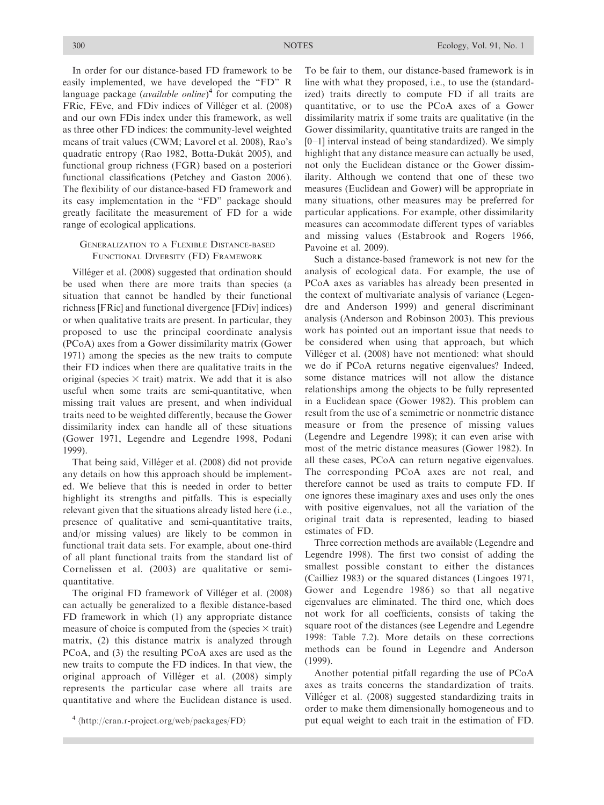In order for our distance-based FD framework to be easily implemented, we have developed the ''FD'' R language package (*available online*)<sup>4</sup> for computing the FRic, FEve, and FDiv indices of Villéger et al. (2008) and our own FDis index under this framework, as well as three other FD indices: the community-level weighted means of trait values (CWM; Lavorel et al. 2008), Rao's quadratic entropy (Rao 1982, Botta-Dukát 2005), and functional group richness (FGR) based on a posteriori functional classifications (Petchey and Gaston 2006). The flexibility of our distance-based FD framework and its easy implementation in the ''FD'' package should greatly facilitate the measurement of FD for a wide range of ecological applications.

# GENERALIZATION TO A FLEXIBLE DISTANCE-BASED FUNCTIONAL DIVERSITY (FD) FRAMEWORK

Villéger et al. (2008) suggested that ordination should be used when there are more traits than species (a situation that cannot be handled by their functional richness [FRic] and functional divergence [FDiv] indices) or when qualitative traits are present. In particular, they proposed to use the principal coordinate analysis (PCoA) axes from a Gower dissimilarity matrix (Gower 1971) among the species as the new traits to compute their FD indices when there are qualitative traits in the original (species  $\times$  trait) matrix. We add that it is also useful when some traits are semi-quantitative, when missing trait values are present, and when individual traits need to be weighted differently, because the Gower dissimilarity index can handle all of these situations (Gower 1971, Legendre and Legendre 1998, Podani 1999).

That being said, Villéger et al. (2008) did not provide any details on how this approach should be implemented. We believe that this is needed in order to better highlight its strengths and pitfalls. This is especially relevant given that the situations already listed here (i.e., presence of qualitative and semi-quantitative traits, and/or missing values) are likely to be common in functional trait data sets. For example, about one-third of all plant functional traits from the standard list of Cornelissen et al. (2003) are qualitative or semiquantitative.

The original FD framework of Villéger et al. (2008) can actually be generalized to a flexible distance-based FD framework in which (1) any appropriate distance measure of choice is computed from the (species  $\times$  trait) matrix, (2) this distance matrix is analyzed through PCoA, and (3) the resulting PCoA axes are used as the new traits to compute the FD indices. In that view, the original approach of Villéger et al. (2008) simply represents the particular case where all traits are quantitative and where the Euclidean distance is used.

To be fair to them, our distance-based framework is in line with what they proposed, i.e., to use the (standardized) traits directly to compute FD if all traits are quantitative, or to use the PCoA axes of a Gower dissimilarity matrix if some traits are qualitative (in the Gower dissimilarity, quantitative traits are ranged in the [0–1] interval instead of being standardized). We simply highlight that any distance measure can actually be used, not only the Euclidean distance or the Gower dissimilarity. Although we contend that one of these two measures (Euclidean and Gower) will be appropriate in many situations, other measures may be preferred for particular applications. For example, other dissimilarity measures can accommodate different types of variables and missing values (Estabrook and Rogers 1966, Pavoine et al. 2009).

Such a distance-based framework is not new for the analysis of ecological data. For example, the use of PCoA axes as variables has already been presented in the context of multivariate analysis of variance (Legendre and Anderson 1999) and general discriminant analysis (Anderson and Robinson 2003). This previous work has pointed out an important issue that needs to be considered when using that approach, but which Villéger et al. (2008) have not mentioned: what should we do if PCoA returns negative eigenvalues? Indeed, some distance matrices will not allow the distance relationships among the objects to be fully represented in a Euclidean space (Gower 1982). This problem can result from the use of a semimetric or nonmetric distance measure or from the presence of missing values (Legendre and Legendre 1998); it can even arise with most of the metric distance measures (Gower 1982). In all these cases, PCoA can return negative eigenvalues. The corresponding PCoA axes are not real, and therefore cannot be used as traits to compute FD. If one ignores these imaginary axes and uses only the ones with positive eigenvalues, not all the variation of the original trait data is represented, leading to biased estimates of FD.

Three correction methods are available (Legendre and Legendre 1998). The first two consist of adding the smallest possible constant to either the distances (Cailliez 1983) or the squared distances (Lingoes 1971, Gower and Legendre 1986) so that all negative eigenvalues are eliminated. The third one, which does not work for all coefficients, consists of taking the square root of the distances (see Legendre and Legendre 1998: Table 7.2). More details on these corrections methods can be found in Legendre and Anderson (1999).

Another potential pitfall regarding the use of PCoA axes as traits concerns the standardization of traits. Villéger et al. (2008) suggested standardizing traits in order to make them dimensionally homogeneous and to  $^4$  (http://cran.r-project.org/web/packages/FD) put equal weight to each trait in the estimation of FD.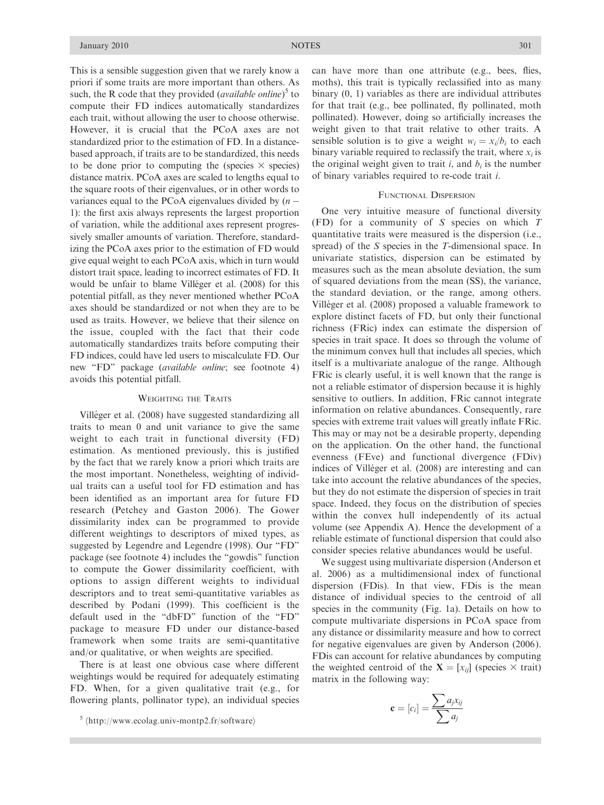This is a sensible suggestion given that we rarely know a priori if some traits are more important than others. As such, the R code that they provided (*available online*)<sup>5</sup> to compute their FD indices automatically standardizes each trait, without allowing the user to choose otherwise. However, it is crucial that the PCoA axes are not standardized prior to the estimation of FD. In a distancebased approach, if traits are to be standardized, this needs to be done prior to computing the (species  $\times$  species) distance matrix. PCoA axes are scaled to lengths equal to the square roots of their eigenvalues, or in other words to variances equal to the PCoA eigenvalues divided by  $(n -$ 1): the first axis always represents the largest proportion of variation, while the additional axes represent progressively smaller amounts of variation. Therefore, standardizing the PCoA axes prior to the estimation of FD would give equal weight to each PCoA axis, which in turn would distort trait space, leading to incorrect estimates of FD. It would be unfair to blame Villéger et al. (2008) for this potential pitfall, as they never mentioned whether PCoA axes should be standardized or not when they are to be used as traits. However, we believe that their silence on the issue, coupled with the fact that their code automatically standardizes traits before computing their FD indices, could have led users to miscalculate FD. Our new "FD" package (*available online*; see footnote 4) avoids this potential pitfall.

### WEIGHTING THE TRAITS

Villéger et al. (2008) have suggested standardizing all traits to mean 0 and unit variance to give the same weight to each trait in functional diversity (FD) estimation. As mentioned previously, this is justified by the fact that we rarely know a priori which traits are the most important. Nonetheless, weighting of individual traits can a useful tool for FD estimation and has been identified as an important area for future FD research (Petchey and Gaston 2006). The Gower dissimilarity index can be programmed to provide different weightings to descriptors of mixed types, as suggested by Legendre and Legendre (1998). Our ''FD'' package (see footnote 4) includes the ''gowdis'' function to compute the Gower dissimilarity coefficient, with options to assign different weights to individual descriptors and to treat semi-quantitative variables as described by Podani (1999). This coefficient is the default used in the ''dbFD'' function of the ''FD'' package to measure FD under our distance-based framework when some traits are semi-quantitative and/or qualitative, or when weights are specified.

There is at least one obvious case where different weightings would be required for adequately estimating FD. When, for a given qualitative trait (e.g., for flowering plants, pollinator type), an individual species

can have more than one attribute (e.g., bees, flies, moths), this trait is typically reclassified into as many binary (0, 1) variables as there are individual attributes for that trait (e.g., bee pollinated, fly pollinated, moth pollinated). However, doing so artificially increases the weight given to that trait relative to other traits. A sensible solution is to give a weight  $w_i = x_i/b_i$  to each binary variable required to reclassify the trait, where  $x_i$  is the original weight given to trait  $i$ , and  $b_i$  is the number of binary variables required to re-code trait i.

### FUNCTIONAL DISPERSION

One very intuitive measure of functional diversity  $(FD)$  for a community of S species on which  $T$ quantitative traits were measured is the dispersion (i.e., spread) of the S species in the T-dimensional space. In univariate statistics, dispersion can be estimated by measures such as the mean absolute deviation, the sum of squared deviations from the mean (SS), the variance, the standard deviation, or the range, among others. Villéger et al. (2008) proposed a valuable framework to explore distinct facets of FD, but only their functional richness (FRic) index can estimate the dispersion of species in trait space. It does so through the volume of the minimum convex hull that includes all species, which itself is a multivariate analogue of the range. Although FRic is clearly useful, it is well known that the range is not a reliable estimator of dispersion because it is highly sensitive to outliers. In addition, FRic cannot integrate information on relative abundances. Consequently, rare species with extreme trait values will greatly inflate FRic. This may or may not be a desirable property, depending on the application. On the other hand, the functional evenness (FEve) and functional divergence (FDiv) indices of Villéger et al. (2008) are interesting and can take into account the relative abundances of the species, but they do not estimate the dispersion of species in trait space. Indeed, they focus on the distribution of species within the convex hull independently of its actual volume (see Appendix A). Hence the development of a reliable estimate of functional dispersion that could also consider species relative abundances would be useful.

We suggest using multivariate dispersion (Anderson et al. 2006) as a multidimensional index of functional dispersion (FDis). In that view, FDis is the mean distance of individual species to the centroid of all species in the community (Fig. 1a). Details on how to compute multivariate dispersions in PCoA space from any distance or dissimilarity measure and how to correct for negative eigenvalues are given by Anderson (2006). FDis can account for relative abundances by computing the weighted centroid of the  $X = [x_{ij}]$  (species  $\times$  trait) matrix in the following way:

$$
\mathbf{c} = [c_i] = \frac{\sum a_j x_{ij}}{\sum a_j}
$$

 $5$   $\langle$ http://www.ecolag.univ-montp2.fr/software $\rangle$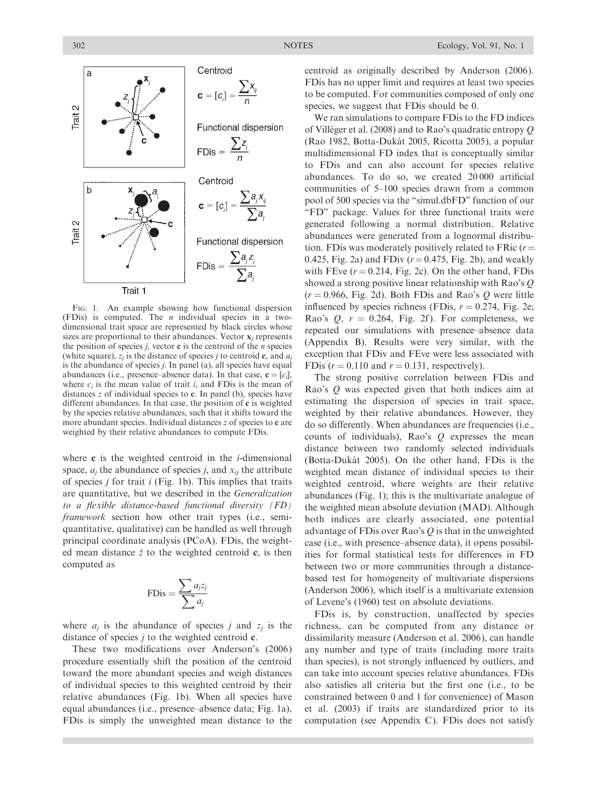

FIG. 1. An example showing how functional dispersion (FDis) is computed. The  $n$  individual species in a twodimensional trait space are represented by black circles whose sizes are proportional to their abundances. Vector  $x_i$  represents the position of species  $j$ , vector  $\bf{c}$  is the centroid of the *n* species (white square),  $z_j$  is the distance of species j to centroid c, and  $a_j$ is the abundance of species j. In panel (a), all species have equal abundances (i.e., presence–absence data). In that case,  $\mathbf{c} = [c_i]$ , where  $c_i$  is the mean value of trait i, and FDis is the mean of distances z of individual species to c. In panel (b), species have different abundances. In that case, the position of c is weighted by the species relative abundances, such that it shifts toward the more abundant species. Individual distances z of species to c are weighted by their relative abundances to compute FDis.

where  $c$  is the weighted centroid in the *i*-dimensional space,  $a_j$  the abundance of species *j*, and  $x_{ij}$  the attribute of species  $j$  for trait  $i$  (Fig. 1b). This implies that traits are quantitative, but we described in the Generalization to a flexible distance-based functional diversity (FD) framework section how other trait types (i.e., semiquantitative, qualitative) can be handled as well through principal coordinate analysis (PCoA). FDis, the weighted mean distance  $\bar{z}$  to the weighted centroid c, is then computed as

$$
FDis = \frac{\sum a_j z_j}{\sum a_j}
$$

where  $a_i$  is the abundance of species j and  $z_i$  is the distance of species  $j$  to the weighted centroid  $c$ .

These two modifications over Anderson's (2006) procedure essentially shift the position of the centroid toward the more abundant species and weigh distances of individual species to this weighted centroid by their relative abundances (Fig. 1b). When all species have equal abundances (i.e., presence–absence data; Fig. 1a), FDis is simply the unweighted mean distance to the centroid as originally described by Anderson (2006). FDis has no upper limit and requires at least two species to be computed. For communities composed of only one species, we suggest that FDis should be 0.

We ran simulations to compare FDis to the FD indices of Villéger et al. (2008) and to Rao's quadratic entropy  $O$ (Rao 1982, Botta-Duka´t 2005, Ricotta 2005), a popular multidimensional FD index that is conceptually similar to FDis and can also account for species relative abundances. To do so, we created 20 000 artificial communities of 5–100 species drawn from a common pool of 500 species via the ''simul.dbFD'' function of our "FD" package. Values for three functional traits were generated following a normal distribution. Relative abundances were generated from a lognormal distribution. FDis was moderately positively related to FRic  $(r=$ 0.425, Fig. 2a) and FDiv  $(r = 0.475,$  Fig. 2b), and weakly with FEve  $(r = 0.214,$  Fig. 2c). On the other hand, FDis showed a strong positive linear relationship with Rao's Q  $(r = 0.966,$  Fig. 2d). Both FDis and Rao's O were little influenced by species richness (FDis,  $r = 0.274$ , Fig. 2e; Rao's  $Q$ ,  $r = 0.264$ , Fig. 2f). For completeness, we repeated our simulations with presence–absence data (Appendix B). Results were very similar, with the exception that FDiv and FEve were less associated with FDis ( $r = 0.110$  and  $r = 0.131$ , respectively).

The strong positive correlation between FDis and Rao's Q was expected given that both indices aim at estimating the dispersion of species in trait space, weighted by their relative abundances. However, they do so differently. When abundances are frequencies (i.e., counts of individuals), Rao's Q expresses the mean distance between two randomly selected individuals (Botta-Duka´t 2005). On the other hand, FDis is the weighted mean distance of individual species to their weighted centroid, where weights are their relative abundances (Fig. 1); this is the multivariate analogue of the weighted mean absolute deviation (MAD). Although both indices are clearly associated, one potential advantage of FD is over Rao's  $Q$  is that in the unweighted case (i.e., with presence–absence data), it opens possibilities for formal statistical tests for differences in FD between two or more communities through a distancebased test for homogeneity of multivariate dispersions (Anderson 2006), which itself is a multivariate extension of Levene's (1960) test on absolute deviations.

FDis is, by construction, unaffected by species richness, can be computed from any distance or dissimilarity measure (Anderson et al. 2006), can handle any number and type of traits (including more traits than species), is not strongly influenced by outliers, and can take into account species relative abundances. FDis also satisfies all criteria but the first one (i.e., to be constrained between 0 and 1 for convenience) of Mason et al. (2003) if traits are standardized prior to its computation (see Appendix C). FDis does not satisfy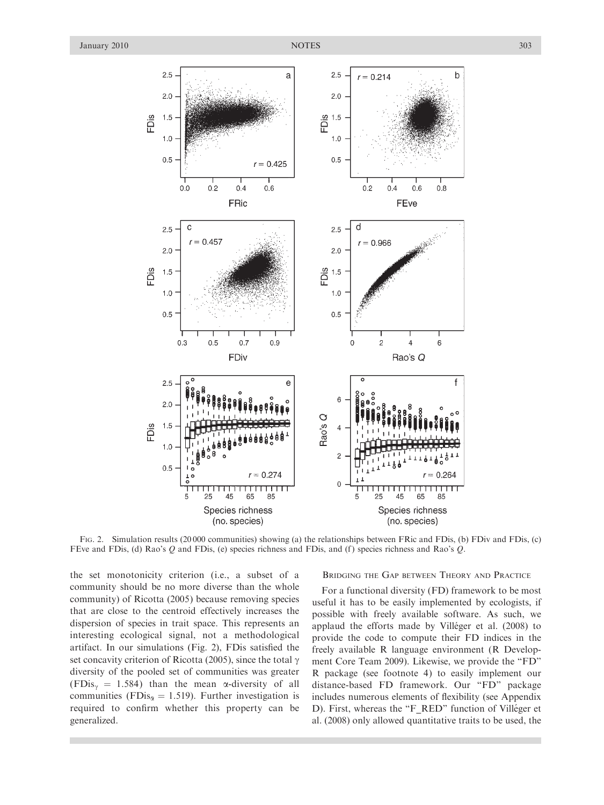

FIG. 2. Simulation results (20 000 communities) showing (a) the relationships between FRic and FDis, (b) FDiv and FDis, (c) FEve and FDis, (d) Rao's  $Q$  and FDis, (e) species richness and FDis, and (f) species richness and Rao's  $Q$ .

the set monotonicity criterion (i.e., a subset of a community should be no more diverse than the whole community) of Ricotta (2005) because removing species that are close to the centroid effectively increases the dispersion of species in trait space. This represents an interesting ecological signal, not a methodological artifact. In our simulations (Fig. 2), FDis satisfied the set concavity criterion of Ricotta (2005), since the total  $\gamma$ diversity of the pooled set of communities was greater (FDis<sub>y</sub> = 1.584) than the mean  $\alpha$ -diversity of all communities (FDis $_{\overline{a}}$  = 1.519). Further investigation is required to confirm whether this property can be generalized.

## BRIDGING THE GAP BETWEEN THEORY AND PRACTICE

For a functional diversity (FD) framework to be most useful it has to be easily implemented by ecologists, if possible with freely available software. As such, we applaud the efforts made by Villéger et al. (2008) to provide the code to compute their FD indices in the freely available R language environment (R Development Core Team 2009). Likewise, we provide the ''FD'' R package (see footnote 4) to easily implement our distance-based FD framework. Our ''FD'' package includes numerous elements of flexibility (see Appendix D). First, whereas the "F\_RED" function of Villéger et al. (2008) only allowed quantitative traits to be used, the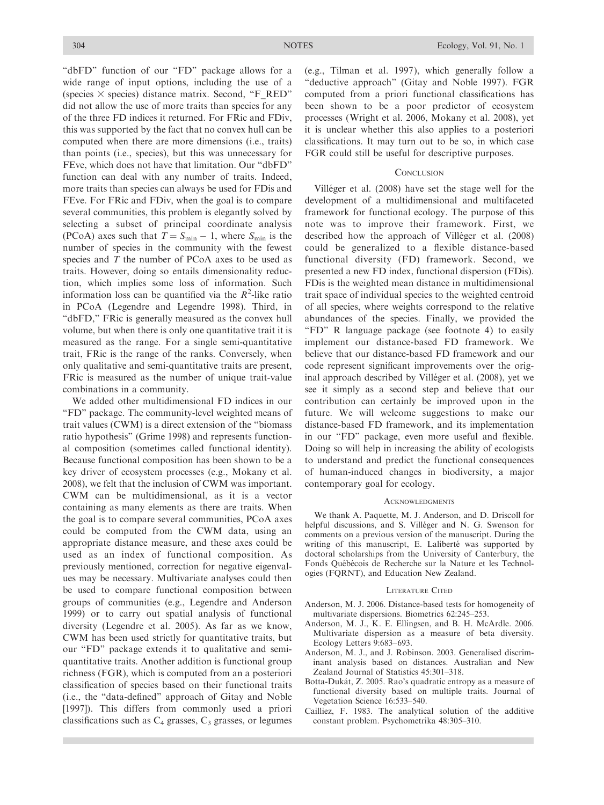"dbFD" function of our "FD" package allows for a wide range of input options, including the use of a (species  $\times$  species) distance matrix. Second, "F\_RED" did not allow the use of more traits than species for any of the three FD indices it returned. For FRic and FDiv, this was supported by the fact that no convex hull can be computed when there are more dimensions (i.e., traits) than points (i.e., species), but this was unnecessary for FEve, which does not have that limitation. Our ''dbFD'' function can deal with any number of traits. Indeed, more traits than species can always be used for FDis and FEve. For FRic and FDiv, when the goal is to compare several communities, this problem is elegantly solved by selecting a subset of principal coordinate analysis (PCoA) axes such that  $T = S_{\text{min}} - 1$ , where  $S_{\text{min}}$  is the number of species in the community with the fewest species and T the number of PCoA axes to be used as traits. However, doing so entails dimensionality reduction, which implies some loss of information. Such information loss can be quantified via the  $R^2$ -like ratio in PCoA (Legendre and Legendre 1998). Third, in "dbFD," FRic is generally measured as the convex hull volume, but when there is only one quantitative trait it is measured as the range. For a single semi-quantitative trait, FRic is the range of the ranks. Conversely, when only qualitative and semi-quantitative traits are present, FRic is measured as the number of unique trait-value combinations in a community.

We added other multidimensional FD indices in our ''FD'' package. The community-level weighted means of trait values (CWM) is a direct extension of the ''biomass ratio hypothesis'' (Grime 1998) and represents functional composition (sometimes called functional identity). Because functional composition has been shown to be a key driver of ecosystem processes (e.g., Mokany et al. 2008), we felt that the inclusion of CWM was important. CWM can be multidimensional, as it is a vector containing as many elements as there are traits. When the goal is to compare several communities, PCoA axes could be computed from the CWM data, using an appropriate distance measure, and these axes could be used as an index of functional composition. As previously mentioned, correction for negative eigenvalues may be necessary. Multivariate analyses could then be used to compare functional composition between groups of communities (e.g., Legendre and Anderson 1999) or to carry out spatial analysis of functional diversity (Legendre et al. 2005). As far as we know, CWM has been used strictly for quantitative traits, but our "FD" package extends it to qualitative and semiquantitative traits. Another addition is functional group richness (FGR), which is computed from an a posteriori classification of species based on their functional traits (i.e., the ''data-defined'' approach of Gitay and Noble [1997]). This differs from commonly used a priori classifications such as  $C_4$  grasses,  $C_3$  grasses, or legumes

(e.g., Tilman et al. 1997), which generally follow a "deductive approach" (Gitay and Noble 1997). FGR computed from a priori functional classifications has been shown to be a poor predictor of ecosystem processes (Wright et al. 2006, Mokany et al. 2008), yet it is unclear whether this also applies to a posteriori classifications. It may turn out to be so, in which case FGR could still be useful for descriptive purposes.

# **CONCLUSION**

Villéger et al. (2008) have set the stage well for the development of a multidimensional and multifaceted framework for functional ecology. The purpose of this note was to improve their framework. First, we described how the approach of Villéger et al. (2008) could be generalized to a flexible distance-based functional diversity (FD) framework. Second, we presented a new FD index, functional dispersion (FDis). FDis is the weighted mean distance in multidimensional trait space of individual species to the weighted centroid of all species, where weights correspond to the relative abundances of the species. Finally, we provided the "FD" R language package (see footnote 4) to easily implement our distance-based FD framework. We believe that our distance-based FD framework and our code represent significant improvements over the original approach described by Villéger et al. (2008), yet we see it simply as a second step and believe that our contribution can certainly be improved upon in the future. We will welcome suggestions to make our distance-based FD framework, and its implementation in our ''FD'' package, even more useful and flexible. Doing so will help in increasing the ability of ecologists to understand and predict the functional consequences of human-induced changes in biodiversity, a major contemporary goal for ecology.

### **ACKNOWLEDGMENTS**

We thank A. Paquette, M. J. Anderson, and D. Driscoll for helpful discussions, and S. Villéger and N. G. Swenson for comments on a previous version of the manuscript. During the writing of this manuscript, E. Laliberté was supported by doctoral scholarships from the University of Canterbury, the Fonds Québécois de Recherche sur la Nature et les Technologies (FQRNT), and Education New Zealand.

#### LITERATURE CITED

- Anderson, M. J. 2006. Distance-based tests for homogeneity of multivariate dispersions. Biometrics 62:245–253.
- Anderson, M. J., K. E. Ellingsen, and B. H. McArdle. 2006. Multivariate dispersion as a measure of beta diversity. Ecology Letters 9:683–693.
- Anderson, M. J., and J. Robinson. 2003. Generalised discriminant analysis based on distances. Australian and New Zealand Journal of Statistics 45:301–318.
- Botta-Dukát, Z. 2005. Rao's quadratic entropy as a measure of functional diversity based on multiple traits. Journal of Vegetation Science 16:533–540.
- Cailliez, F. 1983. The analytical solution of the additive constant problem. Psychometrika 48:305–310.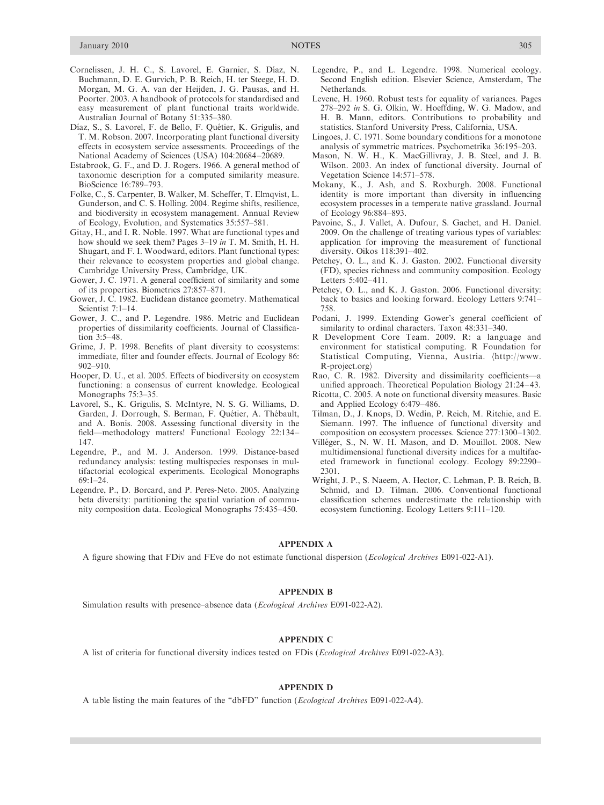- Cornelissen, J. H. C., S. Lavorel, E. Garnier, S. Díaz, N. Buchmann, D. E. Gurvich, P. B. Reich, H. ter Steege, H. D. Morgan, M. G. A. van der Heijden, J. G. Pausas, and H. Poorter. 2003. A handbook of protocols for standardised and easy measurement of plant functional traits worldwide. Australian Journal of Botany 51:335–380.
- Díaz, S., S. Lavorel, F. de Bello, F. Quétier, K. Grigulis, and T. M. Robson. 2007. Incorporating plant functional diversity effects in ecosystem service assessments. Proceedings of the National Academy of Sciences (USA) 104:20684–20689.
- Estabrook, G. F., and D. J. Rogers. 1966. A general method of taxonomic description for a computed similarity measure. BioScience 16:789–793.
- Folke, C., S. Carpenter, B. Walker, M. Scheffer, T. Elmqvist, L. Gunderson, and C. S. Holling. 2004. Regime shifts, resilience, and biodiversity in ecosystem management. Annual Review of Ecology, Evolution, and Systematics 35:557–581.
- Gitay, H., and I. R. Noble. 1997. What are functional types and how should we seek them? Pages 3–19 in T. M. Smith, H. H. Shugart, and F. I. Woodward, editors. Plant functional types: their relevance to ecosystem properties and global change. Cambridge University Press, Cambridge, UK.
- Gower, J. C. 1971. A general coefficient of similarity and some of its properties. Biometrics 27:857–871.
- Gower, J. C. 1982. Euclidean distance geometry. Mathematical Scientist 7:1–14.
- Gower, J. C., and P. Legendre. 1986. Metric and Euclidean properties of dissimilarity coefficients. Journal of Classification 3:5–48.
- Grime, J. P. 1998. Benefits of plant diversity to ecosystems: immediate, filter and founder effects. Journal of Ecology 86: 902–910.
- Hooper, D. U., et al. 2005. Effects of biodiversity on ecosystem functioning: a consensus of current knowledge. Ecological Monographs 75:3–35.
- Lavorel, S., K. Grigulis, S. McIntyre, N. S. G. Williams, D. Garden, J. Dorrough, S. Berman, F. Quétier, A. Thébault, and A. Bonis. 2008. Assessing functional diversity in the field—methodology matters! Functional Ecology 22:134– 147.
- Legendre, P., and M. J. Anderson. 1999. Distance-based redundancy analysis: testing multispecies responses in multifactorial ecological experiments. Ecological Monographs 69:1–24.
- Legendre, P., D. Borcard, and P. Peres-Neto. 2005. Analyzing beta diversity: partitioning the spatial variation of community composition data. Ecological Monographs 75:435–450.
- Legendre, P., and L. Legendre. 1998. Numerical ecology. Second English edition. Elsevier Science, Amsterdam, The Netherlands.
- Levene, H. 1960. Robust tests for equality of variances. Pages 278–292 in S. G. Olkin, W. Hoeffding, W. G. Madow, and H. B. Mann, editors. Contributions to probability and statistics. Stanford University Press, California, USA.
- Lingoes, J. C. 1971. Some boundary conditions for a monotone analysis of symmetric matrices. Psychometrika 36:195–203.
- Mason, N. W. H., K. MacGillivray, J. B. Steel, and J. B. Wilson. 2003. An index of functional diversity. Journal of Vegetation Science 14:571–578.
- Mokany, K., J. Ash, and S. Roxburgh. 2008. Functional identity is more important than diversity in influencing ecosystem processes in a temperate native grassland. Journal of Ecology 96:884–893.
- Pavoine, S., J. Vallet, A. Dufour, S. Gachet, and H. Daniel. 2009. On the challenge of treating various types of variables: application for improving the measurement of functional diversity. Oikos 118:391–402.
- Petchey, O. L., and K. J. Gaston. 2002. Functional diversity (FD), species richness and community composition. Ecology Letters 5:402–411.
- Petchey, O. L., and K. J. Gaston. 2006. Functional diversity: back to basics and looking forward. Ecology Letters 9:741– 758.
- Podani, J. 1999. Extending Gower's general coefficient of similarity to ordinal characters. Taxon 48:331–340.
- R Development Core Team. 2009. R: a language and environment for statistical computing. R Foundation for Statistical Computing, Vienna, Austria. (http://www.  $R$ -project.org $\rangle$
- Rao, C. R. 1982. Diversity and dissimilarity coefficients—a unified approach. Theoretical Population Biology 21:24–43.
- Ricotta, C. 2005. A note on functional diversity measures. Basic and Applied Ecology 6:479–486.
- Tilman, D., J. Knops, D. Wedin, P. Reich, M. Ritchie, and E. Siemann. 1997. The influence of functional diversity and composition on ecosystem processes. Science 277:1300–1302.
- Villéger, S., N. W. H. Mason, and D. Mouillot. 2008. New multidimensional functional diversity indices for a multifaceted framework in functional ecology. Ecology 89:2290– 2301.
- Wright, J. P., S. Naeem, A. Hector, C. Lehman, P. B. Reich, B. Schmid, and D. Tilman. 2006. Conventional functional classification schemes underestimate the relationship with ecosystem functioning. Ecology Letters 9:111–120.

# APPENDIX A

A figure showing that FDiv and FEve do not estimate functional dispersion (Ecological Archives E091-022-A1).

### APPENDIX B

Simulation results with presence–absence data (Ecological Archives E091-022-A2).

# APPENDIX C

A list of criteria for functional diversity indices tested on FDis (Ecological Archives E091-022-A3).

### APPENDIX D

A table listing the main features of the ''dbFD'' function (Ecological Archives E091-022-A4).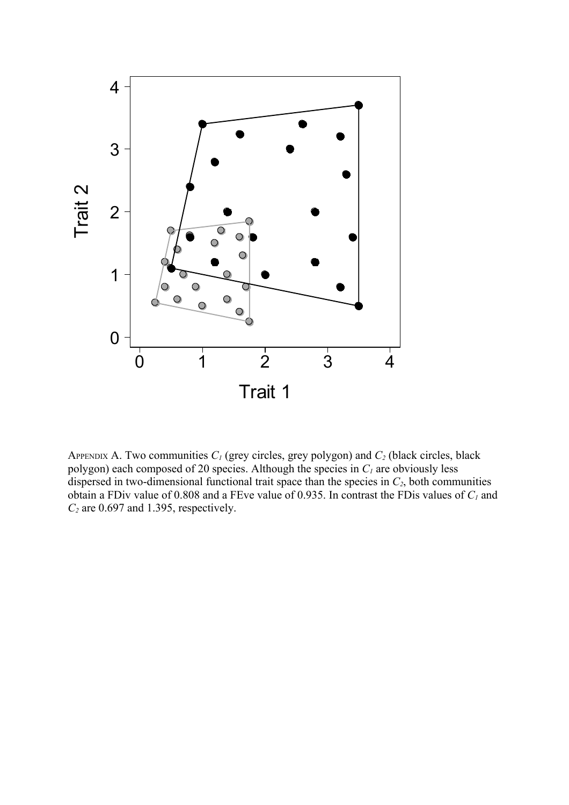

APPENDIX A. Two communities *C1* (grey circles, grey polygon) and *C<sup>2</sup>* (black circles, black polygon) each composed of 20 species. Although the species in  $C_I$  are obviously less dispersed in two-dimensional functional trait space than the species in  $C_2$ , both communities obtain a FDiv value of 0.808 and a FEve value of 0.935. In contrast the FDis values of *C1* and *C2* are 0.697 and 1.395, respectively.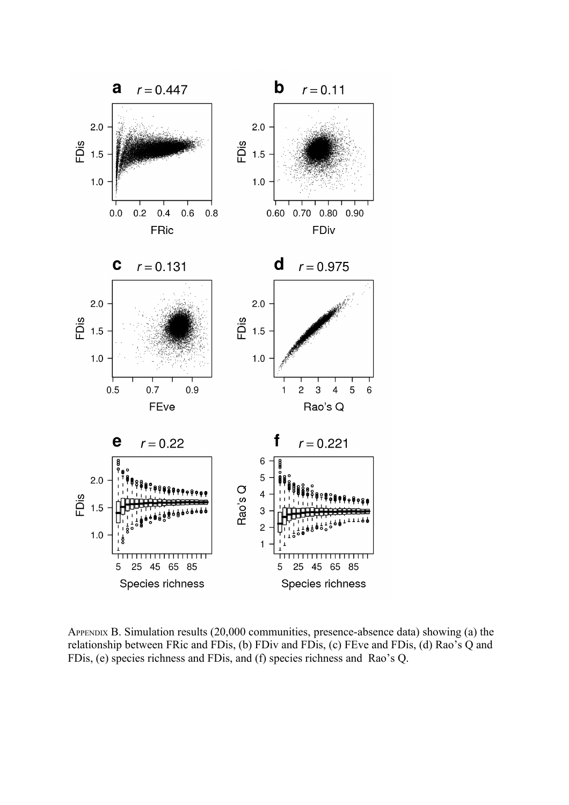

APPENDIX B. Simulation results (20,000 communities, presence-absence data) showing (a) the relationship between FRic and FDis, (b) FDiv and FDis, (c) FEve and FDis, (d) Rao's Q and FDis, (e) species richness and FDis, and (f) species richness and Rao's Q.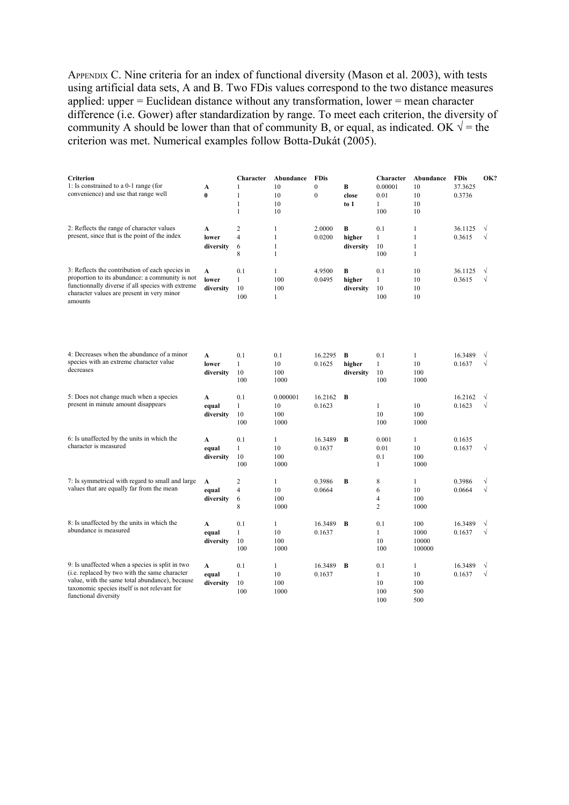APPENDIX C. Nine criteria for an index of functional diversity (Mason et al. 2003), with tests using artificial data sets, A and B. Two FDis values correspond to the two distance measures applied: upper = Euclidean distance without any transformation, lower = mean character difference (i.e. Gower) after standardization by range. To meet each criterion, the diversity of community A should be lower than that of community B, or equal, as indicated. OK  $\sqrt{\ }$  = the criterion was met. Numerical examples follow Botta-Dukát (2005).

| Criterion<br>1: Is constrained to a 0-1 range (for<br>convenience) and use that range well                                                                                                                                 | A<br>$\bf{0}$           | Character<br>$\mathbf{1}$<br>$\mathbf{1}$<br>$\mathbf{1}$<br>$\mathbf{1}$ | Abundance<br>10<br>10<br>10<br>10                 | <b>FDis</b><br>$\boldsymbol{0}$<br>$\boldsymbol{0}$ | B<br>close<br>to 1       | Character<br>0.00001<br>0.01<br>$\mathbf{1}$<br>100 | Abundance<br>10<br>10<br>10<br>10                 | <b>FDis</b><br>37.3625<br>0.3736 | OK?                     |
|----------------------------------------------------------------------------------------------------------------------------------------------------------------------------------------------------------------------------|-------------------------|---------------------------------------------------------------------------|---------------------------------------------------|-----------------------------------------------------|--------------------------|-----------------------------------------------------|---------------------------------------------------|----------------------------------|-------------------------|
| 2: Reflects the range of character values<br>present, since that is the point of the index                                                                                                                                 | A<br>lower<br>diversity | $\overline{2}$<br>$\overline{4}$<br>6<br>8                                | 1<br>$\mathbf{1}$<br>$\mathbf{1}$<br>$\mathbf{1}$ | 2.0000<br>0.0200                                    | В<br>higher<br>diversity | 0.1<br>$\mathbf{1}$<br>10<br>100                    | 1<br>$\mathbf{1}$<br>$\mathbf{1}$<br>$\mathbf{1}$ | 36.1125<br>0.3615                | $\sqrt{ }$<br>$\sqrt{}$ |
| 3: Reflects the contribution of each species in<br>proportion to its abundance: a community is not<br>functionnally diverse if all species with extreme<br>character values are present in very minor<br>amounts           | A<br>lower<br>diversity | 0.1<br>$\mathbf{1}$<br>10<br>100                                          | $\mathbf{1}$<br>100<br>100<br>$\mathbf{1}$        | 4.9500<br>0.0495                                    | В<br>higher<br>diversity | 0.1<br>$\mathbf{1}$<br>10<br>100                    | 10<br>10<br>10<br>10                              | 36.1125<br>0.3615                | $\sqrt{}$               |
| 4: Decreases when the abundance of a minor<br>species with an extreme character value<br>decreases                                                                                                                         | A<br>lower<br>diversity | 0.1<br>$\mathbf{1}$<br>10<br>100                                          | 0.1<br>10<br>100<br>1000                          | 16.2295<br>0.1625                                   | B<br>higher<br>diversity | 0.1<br>$\mathbf{1}$<br>10<br>100                    | $\mathbf{1}$<br>10<br>100<br>1000                 | 16.3489<br>0.1637                | $\sqrt{}$<br>$\sqrt{ }$ |
| 5: Does not change much when a species<br>present in minute amount disappears                                                                                                                                              | A<br>equal<br>diversity | 0.1<br>$\mathbf{1}$<br>10<br>100                                          | 0.000001<br>10<br>100<br>1000                     | 16.2162<br>0.1623                                   | B                        | $\mathbf{1}$<br>10<br>100                           | 10<br>100<br>1000                                 | 16.2162<br>0.1623                | $\sqrt{}$<br>$\sqrt{}$  |
| 6: Is unaffected by the units in which the<br>character is measured                                                                                                                                                        | A<br>equal<br>diversity | 0.1<br>$\mathbf{1}$<br>10<br>100                                          | $\mathbf{1}$<br>10<br>100<br>1000                 | 16.3489<br>0.1637                                   | B                        | 0.001<br>0.01<br>0.1<br>$\mathbf{1}$                | $\mathbf{1}$<br>10<br>100<br>1000                 | 0.1635<br>0.1637                 | $\sqrt{}$               |
| 7: Is symmetrical with regard to small and large<br>values that are equally far from the mean                                                                                                                              | A<br>equal<br>diversity | $\overline{2}$<br>$\overline{4}$<br>6<br>8                                | $\mathbf{1}$<br>10<br>100<br>1000                 | 0.3986<br>0.0664                                    | B                        | 8<br>6<br>$\overline{4}$<br>2                       | $\mathbf{1}$<br>10<br>100<br>1000                 | 0.3986<br>0.0664                 | V<br>$\sqrt{ }$         |
| 8: Is unaffected by the units in which the<br>abundance is measured                                                                                                                                                        | A<br>equal<br>diversity | 0.1<br>$\mathbf{1}$<br>10<br>100                                          | $\mathbf{1}$<br>10<br>100<br>1000                 | 16.3489<br>0.1637                                   | B                        | 0.1<br>$\mathbf{1}$<br>10<br>100                    | 100<br>1000<br>10000<br>100000                    | 16.3489<br>0.1637                | $\sqrt{}$<br>$\sqrt{ }$ |
| 9: Is unaffected when a species is split in two<br>(i.e. replaced by two with the same character<br>value, with the same total abundance), because<br>taxonomic species itself is not relevant for<br>functional diversity | A<br>equal<br>diversity | 0.1<br>$\mathbf{1}$<br>10<br>100                                          | $\mathbf{1}$<br>10<br>100<br>1000                 | 16.3489<br>0.1637                                   | B                        | 0.1<br>$\mathbf{1}$<br>10<br>100<br>100             | $\mathbf{1}$<br>10<br>100<br>500<br>500           | 16.3489<br>0.1637                | V<br>$\sqrt{}$          |